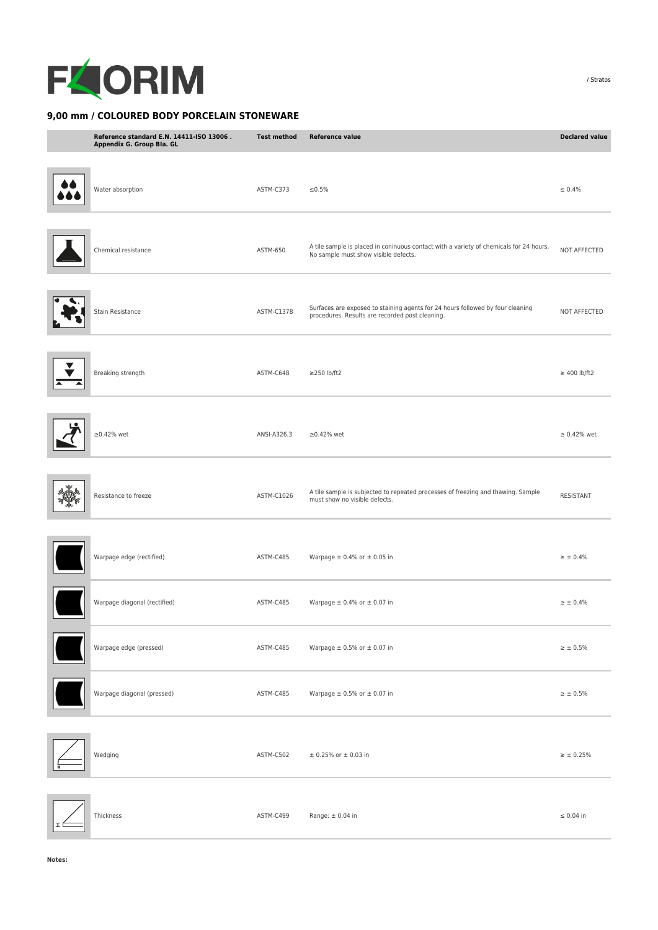

## **9,00 mm / COLOURED BODY PORCELAIN STONEWARE**

| Reference standard E.N. 14411-ISO 13006.<br>Appendix G. Group Bla. GL | <b>Test method</b> | <b>Reference value</b>                                                                                                            | <b>Declared value</b> |
|-----------------------------------------------------------------------|--------------------|-----------------------------------------------------------------------------------------------------------------------------------|-----------------------|
| Water absorption                                                      | ASTM-C373          | ≤0.5%                                                                                                                             | $\leq 0.4\%$          |
| Chemical resistance                                                   | ASTM-650           | A tile sample is placed in coninuous contact with a variety of chemicals for 24 hours.<br>No sample must show visible defects.    | NOT AFFECTED          |
| Stain Resistance                                                      | ASTM-C1378         | Surfaces are exposed to staining agents for 24 hours followed by four cleaning<br>procedures. Results are recorded post cleaning. | NOT AFFECTED          |
| Breaking strength                                                     | ASTM-C648          | $\geq$ 250 lb/ft2                                                                                                                 | $\geq$ 400 lb/ft2     |
| $\geq$ 0.42% wet                                                      | ANSI-A326.3        | $\geq$ 0.42% wet                                                                                                                  | $\geq 0.42\%$ wet     |
| Resistance to freeze                                                  | ASTM-C1026         | A tile sample is subjected to repeated processes of freezing and thawing. Sample<br>must show no visible defects.                 | <b>RESISTANT</b>      |
| Warpage edge (rectified)                                              | ASTM-C485          | Warpage $\pm$ 0.4% or $\pm$ 0.05 in                                                                                               | $\geq \pm 0.4\%$      |
| Warpage diagonal (rectified)                                          | ASTM-C485          | Warpage $\pm$ 0.4% or $\pm$ 0.07 in                                                                                               | $\geq$ $\pm$ 0.4%     |
| Warpage edge (pressed)                                                | ASTM-C485          | Warpage $\pm$ 0.5% or $\pm$ 0.07 in                                                                                               | $\geq \pm 0.5\%$      |
| Warpage diagonal (pressed)                                            | ASTM-C485          | Warpage $\pm$ 0.5% or $\pm$ 0.07 in                                                                                               | $\geq$ $\pm$ 0.5%     |
| Wedging                                                               | ASTM-C502          | $±$ 0.25% or $±$ 0.03 in                                                                                                          | $\geq \pm 0.25\%$     |
| Thickness                                                             | ASTM-C499          | Range: $\pm$ 0.04 in                                                                                                              | $\leq 0.04$ in        |

/ Stratos